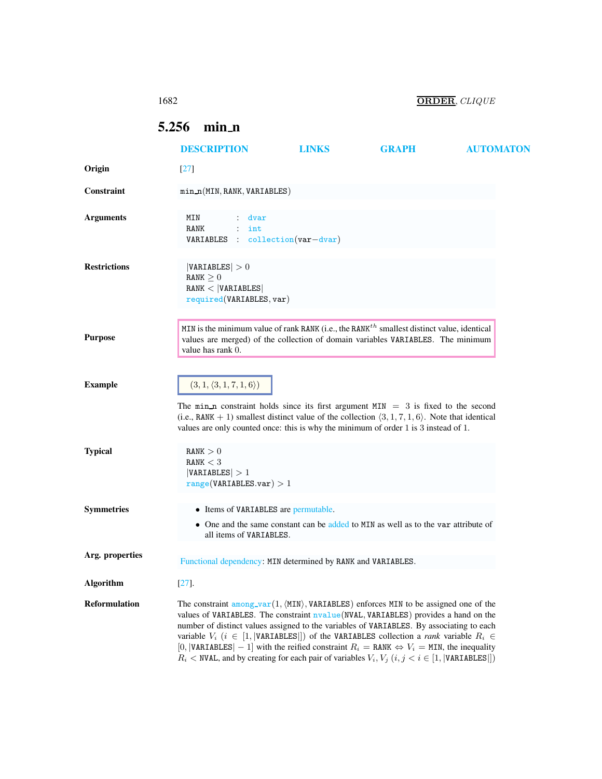## 1682 ORDER, CLIQUE

## <span id="page-0-0"></span>5.256 min n

|                      | <b>DESCRIPTION</b>                                                                                                                                                                                                                                                                                                                                                                                                                                                                                                                                                                                                                                   | LINKS | <b>GRAPH</b>                                                                       | <b>AUTOMATON</b> |
|----------------------|------------------------------------------------------------------------------------------------------------------------------------------------------------------------------------------------------------------------------------------------------------------------------------------------------------------------------------------------------------------------------------------------------------------------------------------------------------------------------------------------------------------------------------------------------------------------------------------------------------------------------------------------------|-------|------------------------------------------------------------------------------------|------------------|
| Origin               | $[27]$                                                                                                                                                                                                                                                                                                                                                                                                                                                                                                                                                                                                                                               |       |                                                                                    |                  |
| Constraint           | $min_n(MIN, RANK, VARIABLES)$                                                                                                                                                                                                                                                                                                                                                                                                                                                                                                                                                                                                                        |       |                                                                                    |                  |
| <b>Arguments</b>     | MIN<br>dvar<br>RANK<br>$\cdot$<br>int<br>VARIABLES : collection(var-dvar)                                                                                                                                                                                                                                                                                                                                                                                                                                                                                                                                                                            |       |                                                                                    |                  |
| <b>Restrictions</b>  | VARIABLES  > 0<br>RANK $\geq 0$<br>RANK <  VARIABLES <br>required(VARIABLES, var)                                                                                                                                                                                                                                                                                                                                                                                                                                                                                                                                                                    |       |                                                                                    |                  |
| <b>Purpose</b>       | MIN is the minimum value of rank RANK (i.e., the RANK <sup>th</sup> smallest distinct value, identical<br>values are merged) of the collection of domain variables VARIABLES. The minimum<br>value has rank 0.                                                                                                                                                                                                                                                                                                                                                                                                                                       |       |                                                                                    |                  |
| <b>Example</b>       | $(3, 1, \langle 3, 1, 7, 1, 6 \rangle)$<br>The min <sub>n</sub> constraint holds since its first argument $MIN = 3$ is fixed to the second<br>(i.e., RANK + 1) smallest distinct value of the collection $\langle 3, 1, 7, 1, 6 \rangle$ . Note that identical<br>values are only counted once: this is why the minimum of order 1 is 3 instead of 1.                                                                                                                                                                                                                                                                                                |       |                                                                                    |                  |
| <b>Typical</b>       | RANK > 0<br>RANK $<$ 3<br> VARIABLES  > 1<br>range(VARIABLES.var) > 1                                                                                                                                                                                                                                                                                                                                                                                                                                                                                                                                                                                |       |                                                                                    |                  |
| <b>Symmetries</b>    | • Items of VARIABLES are permutable.<br>all items of VARIABLES.                                                                                                                                                                                                                                                                                                                                                                                                                                                                                                                                                                                      |       | • One and the same constant can be added to MIN as well as to the var attribute of |                  |
| Arg. properties      | Functional dependency: MIN determined by RANK and VARIABLES.                                                                                                                                                                                                                                                                                                                                                                                                                                                                                                                                                                                         |       |                                                                                    |                  |
| Algorithm            | $[27]$ .                                                                                                                                                                                                                                                                                                                                                                                                                                                                                                                                                                                                                                             |       |                                                                                    |                  |
| <b>Reformulation</b> | The constraint $\frac{among-var}{1, \langle MIN \rangle}$ , VARIABLES) enforces MIN to be assigned one of the<br>values of VARIABLES. The constraint nvalue (NVAL, VARIABLES) provides a hand on the<br>number of distinct values assigned to the variables of VARIABLES. By associating to each<br>variable $V_i$ ( $i \in [1,  \text{VARIABLES} ]$ ) of the VARIABLES collection a <i>rank</i> variable $R_i \in$<br>[0,  VARIABLES   - 1] with the reified constraint $R_i =$ RANK $\Leftrightarrow V_i =$ MIN, the inequality<br>$R_i$ < NVAL, and by creating for each pair of variables $V_i$ , $V_j$ $(i, j < i \in [1,  \text{VARIABLES} ])$ |       |                                                                                    |                  |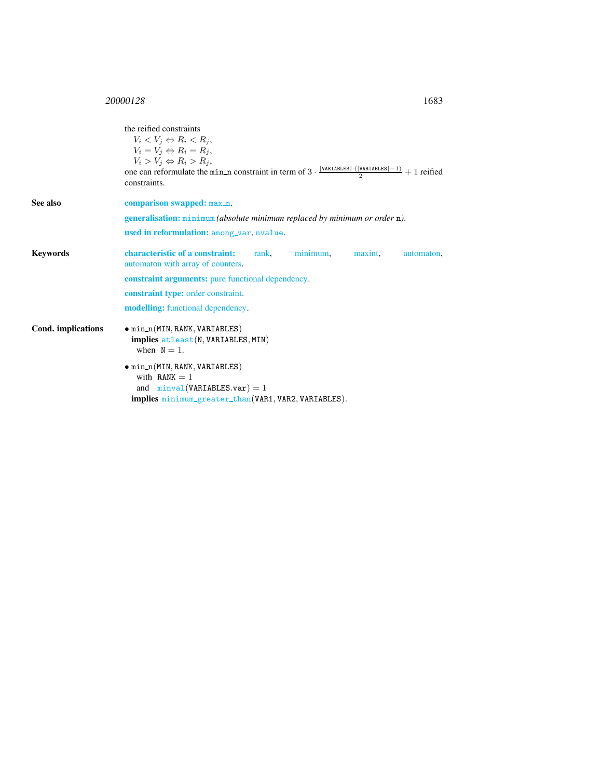<span id="page-1-0"></span>the reified constraints  $V_i < V_j \Leftrightarrow R_i < R_j$  $V_i = V_j \Leftrightarrow R_i = R_j,$  $V_i > V_j \Leftrightarrow R_i > R_j,$ one can reformulate the min\_n constraint in term of  $3 \cdot \frac{|\text{VARIABLES}| \cdot (|\text{VARIABLES}|-1)}{2} + 1$  reified constraints. See also comparison swapped: max\_n. generalisation: minimum *(absolute minimum replaced by minimum or order* n*)*. used in reformulation: among\_var, nvalue. Keywords characteristic of a constraint: rank, minimum, maxint, automaton, automaton with array of counters. constraint arguments: pure functional dependency. constraint type: order constraint. modelling: functional dependency. Cond. implications • min\_n(MIN, RANK, VARIABLES) implies atleast(N, VARIABLES, MIN) when  $N = 1$ .  $\bullet$  min\_n(MIN, RANK, VARIABLES) with  $RANK = 1$ and  $minval(VARIABLES.var) = 1$ implies minimum\_greater\_than(VAR1, VAR2, VARIABLES).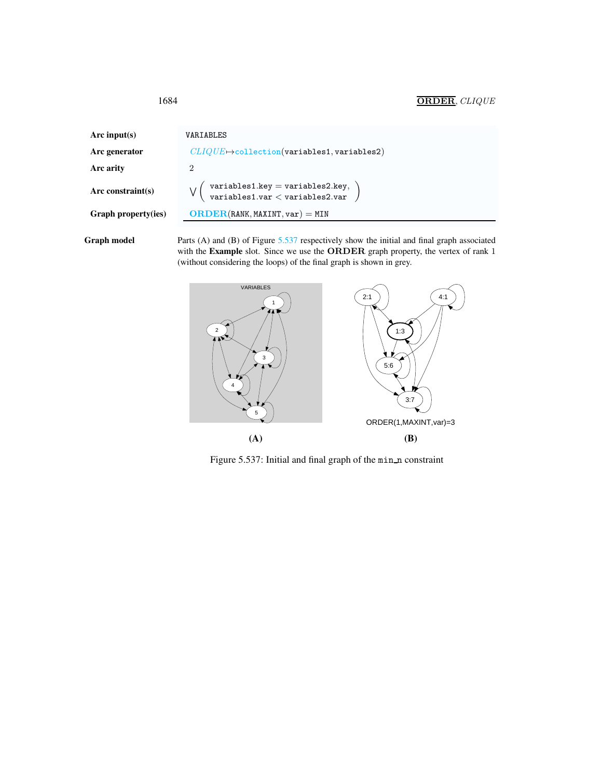| Arc input(s)               | VARIABLES                                                                           |  |  |
|----------------------------|-------------------------------------------------------------------------------------|--|--|
| Arc generator              | $CLIQUE \rightarrow$ collection(variables1, variables2)                             |  |  |
| Arc arity                  | $\overline{2}$                                                                      |  |  |
| Arc constraint $(s)$       | $\frac{1}{2}$ variables1.key = variables2.key,<br>\ variables1.var < variables2.var |  |  |
| <b>Graph property(ies)</b> | $ORDER(RANK, MAXINT, var) = MIN$                                                    |  |  |
|                            |                                                                                     |  |  |

Graph model Parts (A) and (B) of Figure [5.537](#page-2-1) respectively show the initial and final graph associated with the Example slot. Since we use the ORDER graph property, the vertex of rank 1 (without considering the loops) of the final graph is shown in grey.



<span id="page-2-1"></span>Figure 5.537: Initial and final graph of the min\_n constraint

<span id="page-2-0"></span>